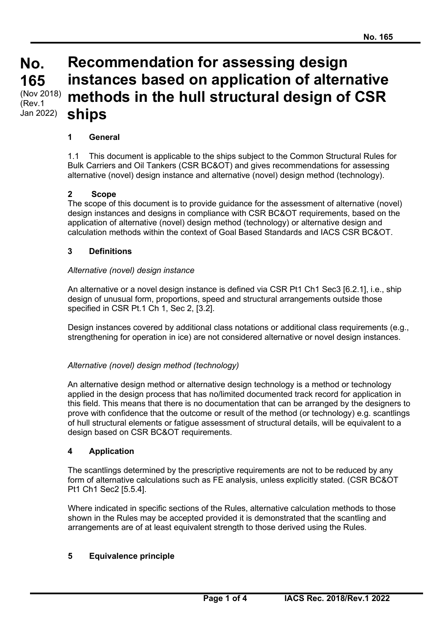# **No. No. 165 165** (Nov 2018) (Rev.1 Jan 2022)

# **Recommendation for assessing design instances based on application of alternative methods in the hull structural design of CSR ships**

# **1 General**

1.1 This document is applicable to the ships subject to the Common Structural Rules for Bulk Carriers and Oil Tankers (CSR BC&OT) and gives recommendations for assessing alternative (novel) design instance and alternative (novel) design method (technology).

#### **2 Scope**

The scope of this document is to provide guidance for the assessment of alternative (novel) design instances and designs in compliance with CSR BC&OT requirements, based on the application of alternative (novel) design method (technology) or alternative design and calculation methods within the context of Goal Based Standards and IACS CSR BC&OT.

#### **3 Definitions**

#### *Alternative (novel) design instance*

An alternative or a novel design instance is defined via CSR Pt1 Ch1 Sec3 [6.2.1], i.e., ship design of unusual form, proportions, speed and structural arrangements outside those specified in CSR Pt.1 Ch 1, Sec 2, [3.2].

Design instances covered by additional class notations or additional class requirements (e.g., strengthening for operation in ice) are not considered alternative or novel design instances.

#### *Alternative (novel) design method (technology)*

An alternative design method or alternative design technology is a method or technology applied in the design process that has no/limited documented track record for application in this field. This means that there is no documentation that can be arranged by the designers to prove with confidence that the outcome or result of the method (or technology) e.g. scantlings of hull structural elements or fatigue assessment of structural details, will be equivalent to a design based on CSR BC&OT requirements.

#### **4 Application**

The scantlings determined by the prescriptive requirements are not to be reduced by any form of alternative calculations such as FE analysis, unless explicitly stated. (CSR BC&OT Pt1 Ch1 Sec2 [5.5.4].

Where indicated in specific sections of the Rules, alternative calculation methods to those shown in the Rules may be accepted provided it is demonstrated that the scantling and arrangements are of at least equivalent strength to those derived using the Rules.

#### **5 Equivalence principle**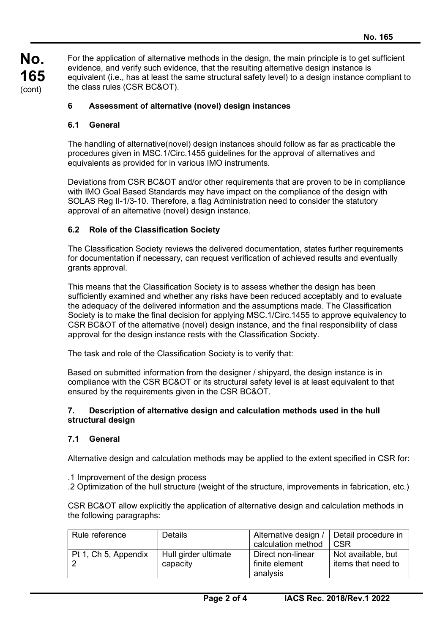**No. 165** (cont)

For the application of alternative methods in the design, the main principle is to get sufficient evidence, and verify such evidence, that the resulting alternative design instance is equivalent (i.e., has at least the same structural safety level) to a design instance compliant to the class rules (CSR BC&OT).

# **6 Assessment of alternative (novel) design instances**

# **6.1 General**

The handling of alternative(novel) design instances should follow as far as practicable the procedures given in MSC.1/Circ.1455 guidelines for the approval of alternatives and equivalents as provided for in various IMO instruments.

Deviations from CSR BC&OT and/or other requirements that are proven to be in compliance with IMO Goal Based Standards may have impact on the compliance of the design with SOLAS Reg II-1/3-10. Therefore, a flag Administration need to consider the statutory approval of an alternative (novel) design instance.

# **6.2 Role of the Classification Society**

The Classification Society reviews the delivered documentation, states further requirements for documentation if necessary, can request verification of achieved results and eventually grants approval.

This means that the Classification Society is to assess whether the design has been sufficiently examined and whether any risks have been reduced acceptably and to evaluate the adequacy of the delivered information and the assumptions made. The Classification Society is to make the final decision for applying MSC.1/Circ.1455 to approve equivalency to CSR BC&OT of the alternative (novel) design instance, and the final responsibility of class approval for the design instance rests with the Classification Society.

The task and role of the Classification Society is to verify that:

Based on submitted information from the designer / shipyard, the design instance is in compliance with the CSR BC&OT or its structural safety level is at least equivalent to that ensured by the requirements given in the CSR BC&OT.

#### **7. Description of alternative design and calculation methods used in the hull structural design**

# **7.1 General**

Alternative design and calculation methods may be applied to the extent specified in CSR for:

- .1 Improvement of the design process
- .2 Optimization of the hull structure (weight of the structure, improvements in fabrication, etc.)

CSR BC&OT allow explicitly the application of alternative design and calculation methods in the following paragraphs:

| Rule reference       | <b>Details</b>                   | Alternative design /   Detail procedure in<br>calculation method | C <sub>SR</sub>                          |
|----------------------|----------------------------------|------------------------------------------------------------------|------------------------------------------|
| Pt 1, Ch 5, Appendix | Hull girder ultimate<br>capacity | Direct non-linear<br>finite element<br>analysis                  | Not available, but<br>items that need to |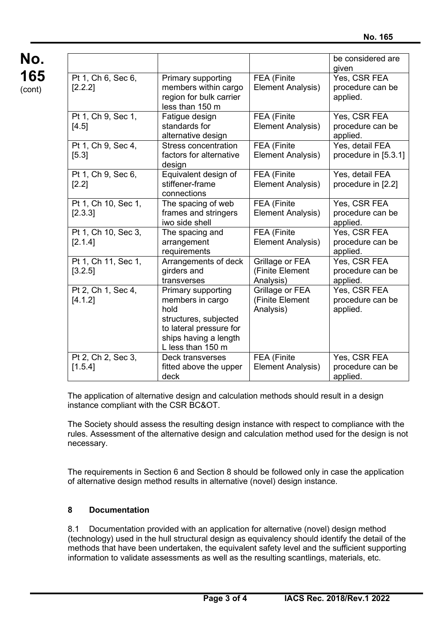|                                |                                                                                                                                                  |                                                 | be considered are<br>given                   |
|--------------------------------|--------------------------------------------------------------------------------------------------------------------------------------------------|-------------------------------------------------|----------------------------------------------|
| Pt 1, Ch 6, Sec 6,<br>[2.2.2]  | Primary supporting<br>members within cargo<br>region for bulk carrier<br>less than 150 m                                                         | FEA (Finite<br>Element Analysis)                | Yes, CSR FEA<br>procedure can be<br>applied. |
| Pt 1, Ch 9, Sec 1,<br>[4.5]    | Fatigue design<br>standards for<br>alternative design                                                                                            | FEA (Finite<br>Element Analysis)                | Yes, CSR FEA<br>procedure can be<br>applied. |
| Pt 1, Ch 9, Sec 4,<br>[5.3]    | <b>Stress concentration</b><br>factors for alternative<br>design                                                                                 | FEA (Finite<br>Element Analysis)                | Yes, detail FEA<br>procedure in [5.3.1]      |
| Pt 1, Ch 9, Sec 6,<br>[2.2]    | Equivalent design of<br>stiffener-frame<br>connections                                                                                           | FEA (Finite<br>Element Analysis)                | Yes, detail FEA<br>procedure in [2.2]        |
| Pt 1, Ch 10, Sec 1,<br>[2.3.3] | The spacing of web<br>frames and stringers<br>iwo side shell                                                                                     | FEA (Finite<br><b>Element Analysis)</b>         | Yes, CSR FEA<br>procedure can be<br>applied. |
| Pt 1, Ch 10, Sec 3,<br>[2.1.4] | The spacing and<br>arrangement<br>requirements                                                                                                   | FEA (Finite<br>Element Analysis)                | Yes, CSR FEA<br>procedure can be<br>applied. |
| Pt 1, Ch 11, Sec 1,<br>[3.2.5] | Arrangements of deck<br>girders and<br>transverses                                                                                               | Grillage or FEA<br>(Finite Element<br>Analysis) | Yes, CSR FEA<br>procedure can be<br>applied. |
| Pt 2, Ch 1, Sec 4,<br>[4.1.2]  | Primary supporting<br>members in cargo<br>hold<br>structures, subjected<br>to lateral pressure for<br>ships having a length<br>L less than 150 m | Grillage or FEA<br>(Finite Element<br>Analysis) | Yes, CSR FEA<br>procedure can be<br>applied. |
| Pt 2, Ch 2, Sec 3,<br>[1.5.4]  | Deck transverses<br>fitted above the upper<br>deck                                                                                               | FEA (Finite<br>Element Analysis)                | Yes, CSR FEA<br>procedure can be<br>applied. |

The application of alternative design and calculation methods should result in a design instance compliant with the CSR BC&OT.

The Society should assess the resulting design instance with respect to compliance with the rules. Assessment of the alternative design and calculation method used for the design is not necessary.

The requirements in Section 6 and Section 8 should be followed only in case the application of alternative design method results in alternative (novel) design instance.

# **8 Documentation**

8.1 Documentation provided with an application for alternative (novel) design method (technology) used in the hull structural design as equivalency should identify the detail of the methods that have been undertaken, the equivalent safety level and the sufficient supporting information to validate assessments as well as the resulting scantlings, materials, etc.